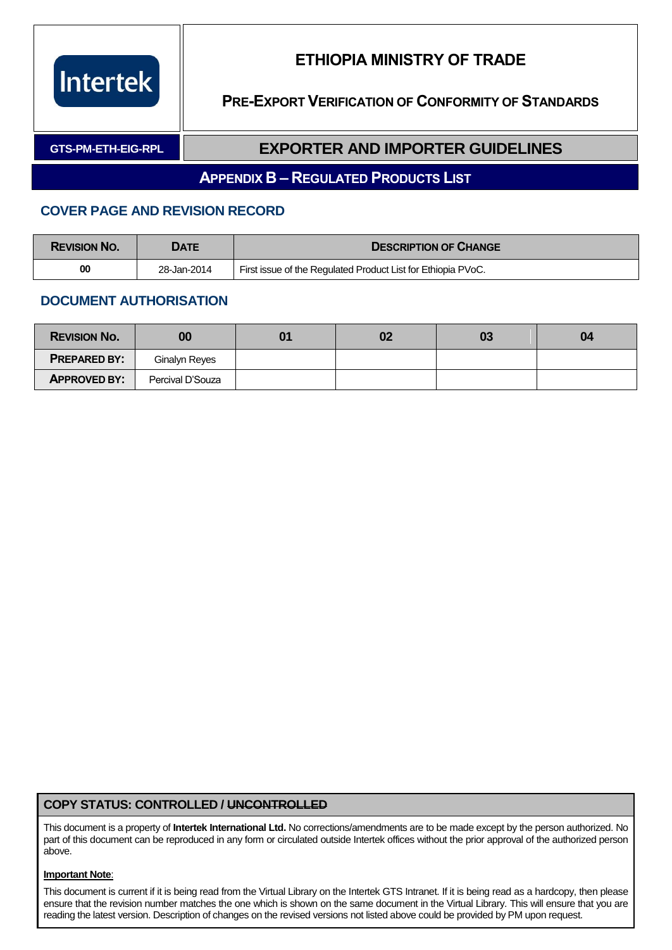

**PRE-EXPORT VERIFICATION OF CONFORMITY OF STANDARDS**

#### **GTS-PM-ETH-EIG-RPL EXPORTER AND IMPORTER GUIDELINES**

#### **APPENDIX B – REGULATED PRODUCTS LIST**

#### **COVER PAGE AND REVISION RECORD**

| <b>REVISION NO.</b> | DATE        | <b>DESCRIPTION OF CHANGE</b>                                 |
|---------------------|-------------|--------------------------------------------------------------|
| 00                  | 28-Jan-2014 | First issue of the Regulated Product List for Ethiopia PVoC. |

#### **DOCUMENT AUTHORISATION**

| <b>REVISION NO.</b> | 00               | 02 | 03 | 04 |
|---------------------|------------------|----|----|----|
| <b>PREPARED BY:</b> | Ginalyn Reyes    |    |    |    |
| <b>APPROVED BY:</b> | Percival D'Souza |    |    |    |

#### **COPY STATUS: CONTROLLED / UNCONTROLLED**

This document is a property of **Intertek International Ltd.** No corrections/amendments are to be made except by the person authorized. No part of this document can be reproduced in any form or circulated outside Intertek offices without the prior approval of the authorized person above.

#### **Important Note**:

This document is current if it is being read from the Virtual Library on the Intertek GTS Intranet. If it is being read as a hardcopy, then please ensure that the revision number matches the one which is shown on the same document in the Virtual Library. This will ensure that you are reading the latest version. Description of changes on the revised versions not listed above could be provided by PM upon request.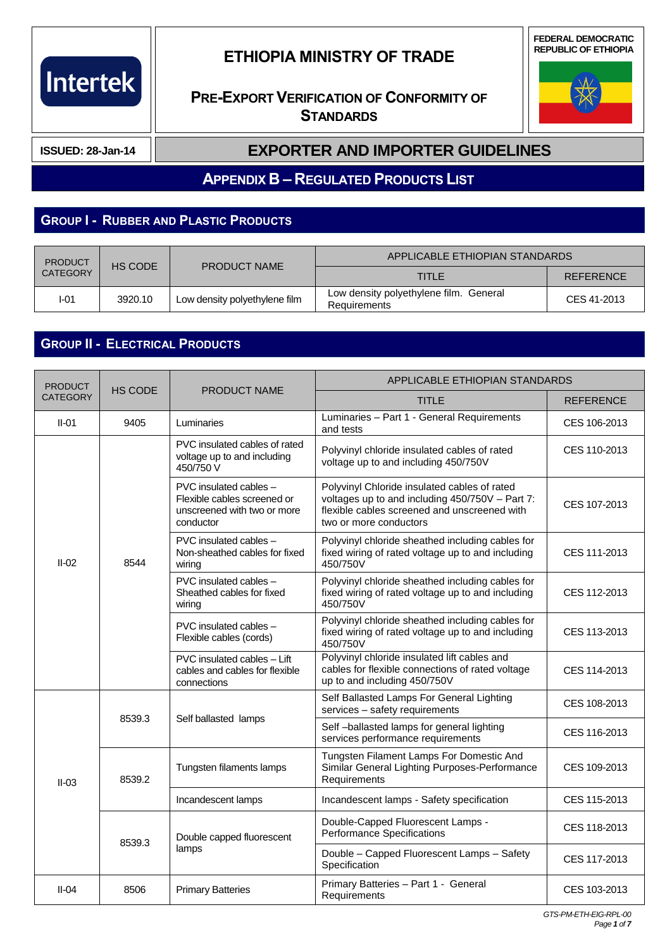# Intertek

## **ETHIOPIA MINISTRY OF TRADE**

### **PRE-EXPORT VERIFICATION OF CONFORMITY OF STANDARDS**





**ISSUED: 28-Jan-14**

#### **EXPORTER AND IMPORTER GUIDELINES**

**APPENDIX B – REGULATED PRODUCTS LIST**

### **GROUP I - RUBBER AND PLASTIC PRODUCTS**

| <b>PRODUCT</b>  | HS CODE | <b>PRODUCT NAME</b>           | APPLICABLE ETHIOPIAN STANDARDS                                |                  |
|-----------------|---------|-------------------------------|---------------------------------------------------------------|------------------|
| <b>CATEGORY</b> |         |                               | <b>TITLE</b>                                                  | <b>REFERENCE</b> |
| I-01            | 3920.10 | Low density polyethylene film | Low density polyethylene film. General<br><b>Requirements</b> | CES 41-2013      |

## **GROUP II - ELECTRICAL PRODUCTS**

| <b>PRODUCT</b>  | <b>HS CODE</b> | <b>PRODUCT NAME</b>                                                                               | APPLICABLE ETHIOPIAN STANDARDS                                                                                                                                            |                                                                                |              |
|-----------------|----------------|---------------------------------------------------------------------------------------------------|---------------------------------------------------------------------------------------------------------------------------------------------------------------------------|--------------------------------------------------------------------------------|--------------|
| <b>CATEGORY</b> |                |                                                                                                   | <b>TITLE</b>                                                                                                                                                              | <b>REFERENCE</b>                                                               |              |
| $II-01$         | 9405           | Luminaries                                                                                        | Luminaries - Part 1 - General Requirements<br>and tests                                                                                                                   | CES 106-2013                                                                   |              |
|                 |                | PVC insulated cables of rated<br>voltage up to and including<br>450/750 V                         | Polyvinyl chloride insulated cables of rated<br>voltage up to and including 450/750V                                                                                      | CES 110-2013                                                                   |              |
|                 |                | PVC insulated cables -<br>Flexible cables screened or<br>unscreened with two or more<br>conductor | Polyvinyl Chloride insulated cables of rated<br>voltages up to and including 450/750V - Part 7:<br>flexible cables screened and unscreened with<br>two or more conductors | CES 107-2013                                                                   |              |
| $II-02$         | 8544           | PVC insulated cables -<br>Non-sheathed cables for fixed<br>wiring                                 | Polyvinyl chloride sheathed including cables for<br>fixed wiring of rated voltage up to and including<br>450/750V                                                         | CES 111-2013                                                                   |              |
|                 |                | PVC insulated cables -<br>Sheathed cables for fixed<br>wiring                                     | Polyvinyl chloride sheathed including cables for<br>fixed wiring of rated voltage up to and including<br>450/750V                                                         | CES 112-2013                                                                   |              |
|                 |                | PVC insulated cables -<br>Flexible cables (cords)                                                 | Polyvinyl chloride sheathed including cables for<br>fixed wiring of rated voltage up to and including<br>450/750V                                                         | CES 113-2013                                                                   |              |
|                 |                | PVC insulated cables - Lift<br>cables and cables for flexible<br>connections                      | Polyvinyl chloride insulated lift cables and<br>cables for flexible connections of rated voltage<br>up to and including 450/750V                                          | CES 114-2013                                                                   |              |
|                 | 8539.3         |                                                                                                   | Self Ballasted Lamps For General Lighting<br>services - safety requirements                                                                                               | CES 108-2013                                                                   |              |
|                 |                |                                                                                                   | Self ballasted lamps                                                                                                                                                      | Self-ballasted lamps for general lighting<br>services performance requirements | CES 116-2013 |
| $II-03$         | 8539.2         | Tungsten filaments lamps                                                                          | Tungsten Filament Lamps For Domestic And<br>Similar General Lighting Purposes-Performance<br>Requirements                                                                 | CES 109-2013                                                                   |              |
|                 |                | Incandescent lamps                                                                                | Incandescent lamps - Safety specification                                                                                                                                 | CES 115-2013                                                                   |              |
|                 | 8539.3         | Double capped fluorescent                                                                         | Double-Capped Fluorescent Lamps -<br><b>Performance Specifications</b>                                                                                                    | CES 118-2013                                                                   |              |
|                 |                | lamps                                                                                             | Double - Capped Fluorescent Lamps - Safety<br>Specification                                                                                                               | CES 117-2013                                                                   |              |
| $II-04$         | 8506           | <b>Primary Batteries</b>                                                                          | Primary Batteries - Part 1 - General<br>Requirements                                                                                                                      | CES 103-2013                                                                   |              |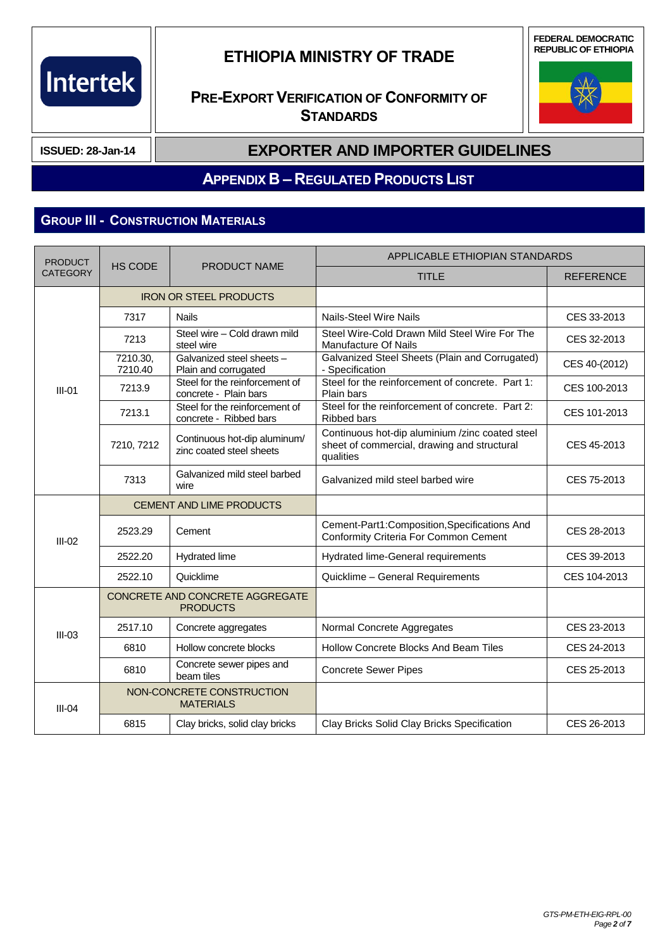

**FEDERAL DEMOCRATIC REPUBLIC OF ETHIOPIA**

## **PRE-EXPORT VERIFICATION OF CONFORMITY OF STANDARDS**



**ISSUED: 28-Jan-14**

#### **EXPORTER AND IMPORTER GUIDELINES**

#### **APPENDIX B – REGULATED PRODUCTS LIST**

#### **GROUP III - CONSTRUCTION MATERIALS**

| <b>PRODUCT</b>  |                     | <b>PRODUCT NAME</b>                                      | APPLICABLE ETHIOPIAN STANDARDS                                                                              |                  |  |
|-----------------|---------------------|----------------------------------------------------------|-------------------------------------------------------------------------------------------------------------|------------------|--|
| <b>CATEGORY</b> | <b>HS CODE</b>      |                                                          | <b>TITLE</b>                                                                                                | <b>REFERENCE</b> |  |
|                 |                     | <b>IRON OR STEEL PRODUCTS</b>                            |                                                                                                             |                  |  |
|                 | 7317                | <b>Nails</b>                                             | <b>Nails-Steel Wire Nails</b>                                                                               | CES 33-2013      |  |
|                 | 7213                | Steel wire - Cold drawn mild<br>steel wire               | Steel Wire-Cold Drawn Mild Steel Wire For The<br>Manufacture Of Nails                                       | CES 32-2013      |  |
|                 | 7210.30,<br>7210.40 | Galvanized steel sheets -<br>Plain and corrugated        | Galvanized Steel Sheets (Plain and Corrugated)<br>- Specification                                           | CES 40-(2012)    |  |
| $III-01$        | 7213.9              | Steel for the reinforcement of<br>concrete - Plain bars  | Steel for the reinforcement of concrete. Part 1:<br>Plain bars                                              | CES 100-2013     |  |
|                 | 7213.1              | Steel for the reinforcement of<br>concrete - Ribbed bars | Steel for the reinforcement of concrete. Part 2:<br><b>Ribbed bars</b>                                      | CES 101-2013     |  |
|                 | 7210, 7212          | Continuous hot-dip aluminum/<br>zinc coated steel sheets | Continuous hot-dip aluminium /zinc coated steel<br>sheet of commercial, drawing and structural<br>qualities | CES 45-2013      |  |
|                 | 7313                | Galvanized mild steel barbed<br>wire                     | Galvanized mild steel barbed wire                                                                           | CES 75-2013      |  |
|                 |                     | <b>CEMENT AND LIME PRODUCTS</b>                          |                                                                                                             |                  |  |
| $III-02$        | 2523.29             | Cement                                                   | Cement-Part1:Composition,Specifications And<br><b>Conformity Criteria For Common Cement</b>                 | CES 28-2013      |  |
|                 | 2522.20             | Hydrated lime                                            | Hydrated lime-General requirements                                                                          | CES 39-2013      |  |
|                 | 2522.10             | Quicklime                                                | Quicklime - General Requirements                                                                            | CES 104-2013     |  |
|                 |                     | CONCRETE AND CONCRETE AGGREGATE<br><b>PRODUCTS</b>       |                                                                                                             |                  |  |
| $III-03$        | 2517.10             | Concrete aggregates                                      | Normal Concrete Aggregates                                                                                  | CES 23-2013      |  |
|                 | 6810                | Hollow concrete blocks                                   | Hollow Concrete Blocks And Beam Tiles                                                                       | CES 24-2013      |  |
|                 | 6810                | Concrete sewer pipes and<br>beam tiles                   | <b>Concrete Sewer Pipes</b>                                                                                 | CES 25-2013      |  |
| $III-04$        |                     | NON-CONCRETE CONSTRUCTION<br><b>MATERIALS</b>            |                                                                                                             |                  |  |
|                 | 6815                | Clay bricks, solid clay bricks                           | Clay Bricks Solid Clay Bricks Specification                                                                 | CES 26-2013      |  |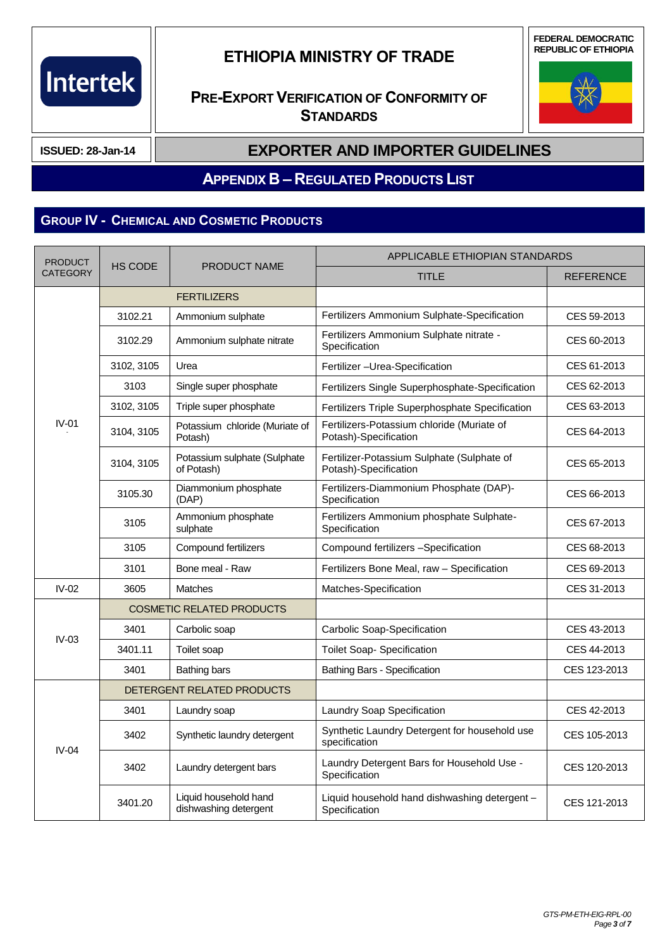

**FEDERAL DEMOCRATIC REPUBLIC OF ETHIOPIA**

## **PRE-EXPORT VERIFICATION OF CONFORMITY OF STANDARDS**



**ISSUED: 28-Jan-14**

#### **EXPORTER AND IMPORTER GUIDELINES**

**APPENDIX B – REGULATED PRODUCTS LIST**

## **GROUP IV - CHEMICAL AND COSMETIC PRODUCTS**

| <b>PRODUCT</b>  | <b>HS CODE</b> | <b>PRODUCT NAME</b>                            | APPLICABLE ETHIOPIAN STANDARDS                                      |                  |  |
|-----------------|----------------|------------------------------------------------|---------------------------------------------------------------------|------------------|--|
| <b>CATEGORY</b> |                |                                                | <b>TITLE</b>                                                        | <b>REFERENCE</b> |  |
|                 |                | <b>FERTILIZERS</b>                             |                                                                     |                  |  |
|                 | 3102.21        | Ammonium sulphate                              | Fertilizers Ammonium Sulphate-Specification                         | CES 59-2013      |  |
|                 | 3102.29        | Ammonium sulphate nitrate                      | Fertilizers Ammonium Sulphate nitrate -<br>Specification            | CES 60-2013      |  |
|                 | 3102, 3105     | Urea                                           | Fertilizer - Urea-Specification                                     | CES 61-2013      |  |
|                 | 3103           | Single super phosphate                         | Fertilizers Single Superphosphate-Specification                     | CES 62-2013      |  |
|                 | 3102, 3105     | Triple super phosphate                         | Fertilizers Triple Superphosphate Specification                     | CES 63-2013      |  |
| $IV-01$         | 3104, 3105     | Potassium chloride (Muriate of<br>Potash)      | Fertilizers-Potassium chloride (Muriate of<br>Potash)-Specification | CES 64-2013      |  |
|                 | 3104, 3105     | Potassium sulphate (Sulphate<br>of Potash)     | Fertilizer-Potassium Sulphate (Sulphate of<br>Potash)-Specification | CES 65-2013      |  |
|                 | 3105.30        | Diammonium phosphate<br>(DAP)                  | Fertilizers-Diammonium Phosphate (DAP)-<br>Specification            | CES 66-2013      |  |
|                 | 3105           | Ammonium phosphate<br>sulphate                 | Fertilizers Ammonium phosphate Sulphate-<br>Specification           | CES 67-2013      |  |
|                 | 3105           | Compound fertilizers                           | Compound fertilizers -Specification                                 | CES 68-2013      |  |
|                 | 3101           | Bone meal - Raw                                | Fertilizers Bone Meal, raw - Specification                          | CES 69-2013      |  |
| $IV-02$         | 3605           | <b>Matches</b>                                 | Matches-Specification                                               | CES 31-2013      |  |
|                 |                | <b>COSMETIC RELATED PRODUCTS</b>               |                                                                     |                  |  |
| $IV-03$         | 3401           | Carbolic soap                                  | Carbolic Soap-Specification                                         | CES 43-2013      |  |
|                 | 3401.11        | Toilet soap                                    | Toilet Soap- Specification                                          | CES 44-2013      |  |
|                 | 3401           | Bathing bars                                   | <b>Bathing Bars - Specification</b>                                 | CES 123-2013     |  |
|                 |                | DETERGENT RELATED PRODUCTS                     |                                                                     |                  |  |
|                 | 3401           | Laundry soap                                   | Laundry Soap Specification                                          | CES 42-2013      |  |
| $IV-04$         | 3402           | Synthetic laundry detergent                    | Synthetic Laundry Detergent for household use<br>specification      | CES 105-2013     |  |
|                 | 3402           | Laundry detergent bars                         | Laundry Detergent Bars for Household Use -<br>Specification         | CES 120-2013     |  |
|                 | 3401.20        | Liquid household hand<br>dishwashing detergent | Liquid household hand dishwashing detergent -<br>Specification      | CES 121-2013     |  |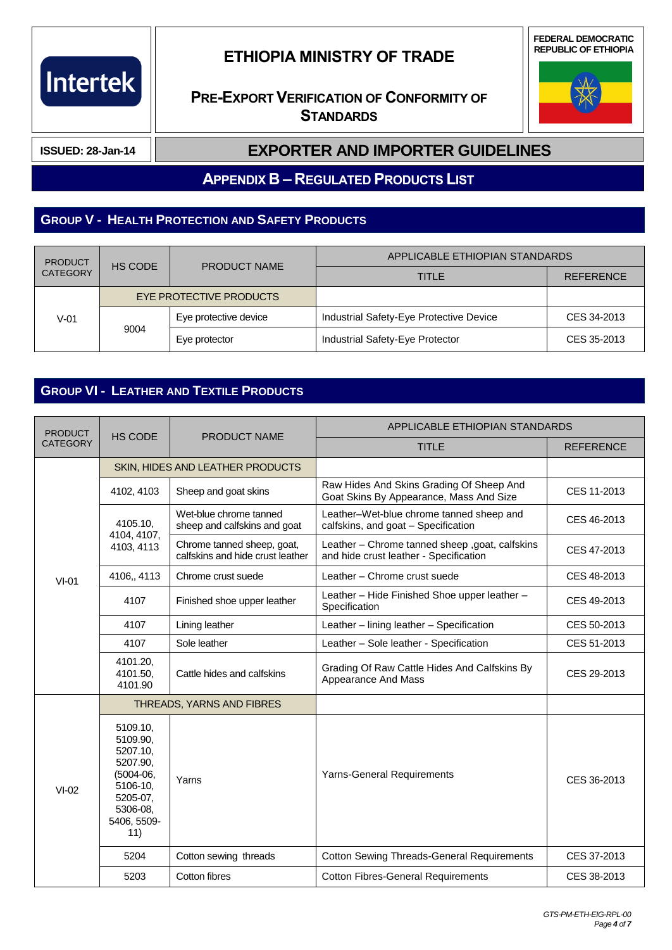

### **PRE-EXPORT VERIFICATION OF CONFORMITY OF STANDARDS**





**ISSUED: 28-Jan-14**

#### **EXPORTER AND IMPORTER GUIDELINES**

**APPENDIX B – REGULATED PRODUCTS LIST**

#### **GROUP V - HEALTH PROTECTION AND SAFETY PRODUCTS**

| <b>PRODUCT</b><br>HS CODE<br><b>CATEGORY</b> |      | <b>PRODUCT NAME</b>     | APPLICABLE ETHIOPIAN STANDARDS          |             |
|----------------------------------------------|------|-------------------------|-----------------------------------------|-------------|
|                                              |      | <b>TITLE</b>            | <b>REFERENCE</b>                        |             |
|                                              |      | EYE PROTECTIVE PRODUCTS |                                         |             |
| $V-01$                                       | 9004 | Eye protective device   | Industrial Safety-Eye Protective Device | CES 34-2013 |
|                                              |      | Eye protector           | Industrial Safety-Eye Protector         | CES 35-2013 |

#### **GROUP VI - LEATHER AND TEXTILE PRODUCTS**

| <b>PRODUCT</b><br><b>HS CODE</b><br><b>CATEGORY</b> |                                                                                                                       | PRODUCT NAME                                                   | APPLICABLE ETHIOPIAN STANDARDS                                                            |                  |
|-----------------------------------------------------|-----------------------------------------------------------------------------------------------------------------------|----------------------------------------------------------------|-------------------------------------------------------------------------------------------|------------------|
|                                                     |                                                                                                                       |                                                                | <b>TITLE</b>                                                                              | <b>REFERENCE</b> |
|                                                     |                                                                                                                       | SKIN, HIDES AND LEATHER PRODUCTS                               |                                                                                           |                  |
|                                                     | 4102, 4103                                                                                                            | Sheep and goat skins                                           | Raw Hides And Skins Grading Of Sheep And<br>Goat Skins By Appearance, Mass And Size       | CES 11-2013      |
|                                                     | 4105.10,                                                                                                              | Wet-blue chrome tanned<br>sheep and calfskins and goat         | Leather-Wet-blue chrome tanned sheep and<br>calfskins, and goat - Specification           | CES 46-2013      |
|                                                     | 4104, 4107,<br>4103, 4113                                                                                             | Chrome tanned sheep, goat,<br>calfskins and hide crust leather | Leather - Chrome tanned sheep , goat, calfskins<br>and hide crust leather - Specification | CES 47-2013      |
| $VI-01$                                             | 4106,, 4113                                                                                                           | Chrome crust suede                                             | Leather - Chrome crust suede                                                              | CES 48-2013      |
|                                                     | 4107                                                                                                                  | Finished shoe upper leather                                    | Leather - Hide Finished Shoe upper leather -<br>Specification                             | CES 49-2013      |
|                                                     | 4107                                                                                                                  | Lining leather                                                 | Leather - lining leather - Specification                                                  | CES 50-2013      |
|                                                     | 4107                                                                                                                  | Sole leather                                                   | Leather - Sole leather - Specification                                                    | CES 51-2013      |
|                                                     | 4101.20,<br>4101.50,<br>4101.90                                                                                       | Cattle hides and calfskins                                     | Grading Of Raw Cattle Hides And Calfskins By<br>Appearance And Mass                       | CES 29-2013      |
|                                                     | THREADS, YARNS AND FIBRES                                                                                             |                                                                |                                                                                           |                  |
| $VI-02$                                             | 5109.10,<br>5109.90,<br>5207.10,<br>5207.90,<br>$(5004-06,$<br>5106-10,<br>5205-07,<br>5306-08,<br>5406, 5509-<br>11) | Yarns                                                          | <b>Yarns-General Requirements</b>                                                         | CES 36-2013      |
|                                                     | 5204                                                                                                                  | Cotton sewing threads                                          | <b>Cotton Sewing Threads-General Requirements</b>                                         | CES 37-2013      |
|                                                     | 5203                                                                                                                  | Cotton fibres                                                  | <b>Cotton Fibres-General Requirements</b>                                                 | CES 38-2013      |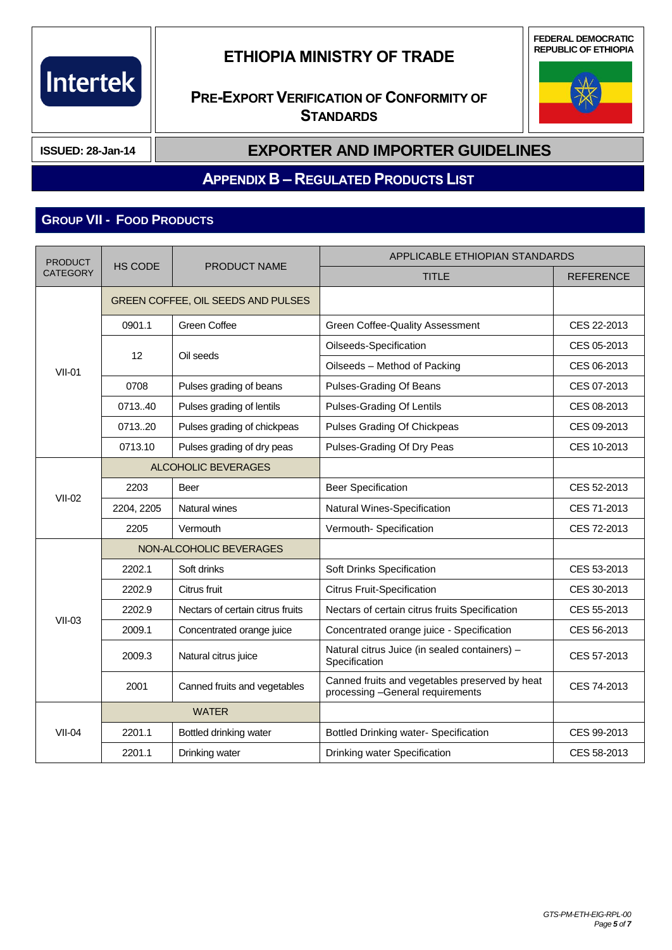

**PRE-EXPORT VERIFICATION OF CONFORMITY OF STANDARDS**





**ISSUED: 28-Jan-14**

#### **EXPORTER AND IMPORTER GUIDELINES**

#### **APPENDIX B – REGULATED PRODUCTS LIST**

## **GROUP VII - FOOD PRODUCTS**

| <b>PRODUCT</b><br><b>CATEGORY</b> | <b>HS CODE</b>             | <b>PRODUCT NAME</b>                | APPLICABLE ETHIOPIAN STANDARDS                                                     |                  |
|-----------------------------------|----------------------------|------------------------------------|------------------------------------------------------------------------------------|------------------|
|                                   |                            |                                    | <b>TITLE</b>                                                                       | <b>REFERENCE</b> |
|                                   |                            | GREEN COFFEE, OIL SEEDS AND PULSES |                                                                                    |                  |
|                                   | 0901.1                     | Green Coffee                       | Green Coffee-Quality Assessment                                                    | CES 22-2013      |
|                                   | 12                         | Oil seeds                          | Oilseeds-Specification                                                             | CES 05-2013      |
| $VII-01$                          |                            |                                    | Oilseeds - Method of Packing                                                       | CES 06-2013      |
|                                   | 0708                       | Pulses grading of beans            | Pulses-Grading Of Beans                                                            | CES 07-2013      |
|                                   | 0713.40                    | Pulses grading of lentils          | Pulses-Grading Of Lentils                                                          | CES 08-2013      |
|                                   | 071320                     | Pulses grading of chickpeas        | Pulses Grading Of Chickpeas                                                        | CES 09-2013      |
|                                   | 0713.10                    | Pulses grading of dry peas         | Pulses-Grading Of Dry Peas                                                         | CES 10-2013      |
|                                   | <b>ALCOHOLIC BEVERAGES</b> |                                    |                                                                                    |                  |
| <b>VII-02</b>                     | 2203                       | <b>Beer</b>                        | <b>Beer Specification</b>                                                          | CES 52-2013      |
|                                   | 2204, 2205                 | Natural wines                      | Natural Wines-Specification                                                        | CES 71-2013      |
|                                   | 2205                       | Vermouth                           | Vermouth- Specification                                                            | CES 72-2013      |
|                                   |                            | NON-ALCOHOLIC BEVERAGES            |                                                                                    |                  |
|                                   | 2202.1                     | Soft drinks                        | Soft Drinks Specification                                                          | CES 53-2013      |
|                                   | 2202.9                     | Citrus fruit                       | <b>Citrus Fruit-Specification</b>                                                  | CES 30-2013      |
| $VII-03$                          | 2202.9                     | Nectars of certain citrus fruits   | Nectars of certain citrus fruits Specification                                     | CES 55-2013      |
|                                   | 2009.1                     | Concentrated orange juice          | Concentrated orange juice - Specification                                          | CES 56-2013      |
|                                   | 2009.3                     | Natural citrus juice               | Natural citrus Juice (in sealed containers) -<br>Specification                     | CES 57-2013      |
|                                   | 2001                       | Canned fruits and vegetables       | Canned fruits and vegetables preserved by heat<br>processing -General requirements | CES 74-2013      |
|                                   |                            | <b>WATER</b>                       |                                                                                    |                  |
| $VII-04$                          | 2201.1                     | Bottled drinking water             | Bottled Drinking water- Specification                                              | CES 99-2013      |
|                                   | 2201.1                     | Drinking water                     | Drinking water Specification                                                       | CES 58-2013      |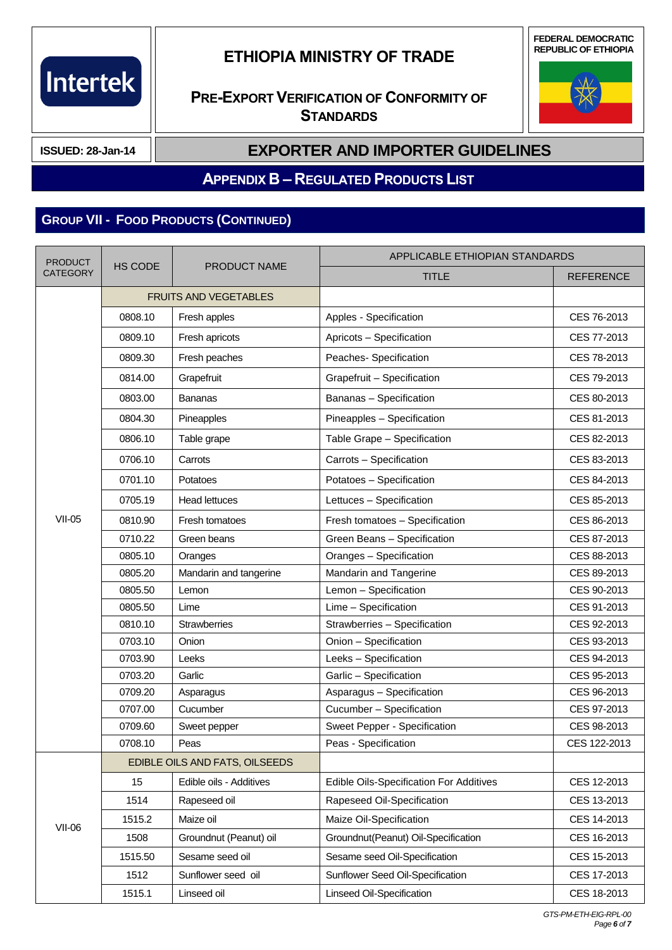# Intertek

## **ETHIOPIA MINISTRY OF TRADE**

**FEDERAL DEMOCRATIC REPUBLIC OF ETHIOPIA**

## **PRE-EXPORT VERIFICATION OF CONFORMITY OF STANDARDS**



**ISSUED: 28-Jan-14**

### **EXPORTER AND IMPORTER GUIDELINES**

#### **APPENDIX B – REGULATED PRODUCTS LIST**

## **GROUP VII - FOOD PRODUCTS (CONTINUED)**

| <b>PRODUCT</b>  |                | PRODUCT NAME                   | APPLICABLE ETHIOPIAN STANDARDS          |                  |
|-----------------|----------------|--------------------------------|-----------------------------------------|------------------|
| <b>CATEGORY</b> | <b>HS CODE</b> |                                | <b>TITLE</b>                            | <b>REFERENCE</b> |
|                 |                | <b>FRUITS AND VEGETABLES</b>   |                                         |                  |
|                 | 0808.10        | Fresh apples                   | Apples - Specification                  | CES 76-2013      |
|                 | 0809.10        | Fresh apricots                 | Apricots - Specification                | CES 77-2013      |
|                 | 0809.30        | Fresh peaches                  | Peaches- Specification                  | CES 78-2013      |
|                 | 0814.00        | Grapefruit                     | Grapefruit - Specification              | CES 79-2013      |
|                 | 0803.00        | Bananas                        | Bananas - Specification                 | CES 80-2013      |
|                 | 0804.30        | Pineapples                     | Pineapples - Specification              | CES 81-2013      |
|                 | 0806.10        | Table grape                    | Table Grape - Specification             | CES 82-2013      |
|                 | 0706.10        | Carrots                        | Carrots - Specification                 | CES 83-2013      |
|                 | 0701.10        | Potatoes                       | Potatoes - Specification                | CES 84-2013      |
|                 | 0705.19        | <b>Head lettuces</b>           | Lettuces - Specification                | CES 85-2013      |
| <b>VII-05</b>   | 0810.90        | Fresh tomatoes                 | Fresh tomatoes - Specification          | CES 86-2013      |
|                 | 0710.22        | Green beans                    | Green Beans - Specification             | CES 87-2013      |
|                 | 0805.10        | Oranges                        | Oranges - Specification                 | CES 88-2013      |
|                 | 0805.20        | Mandarin and tangerine         | Mandarin and Tangerine                  | CES 89-2013      |
|                 | 0805.50        | Lemon                          | Lemon - Specification                   | CES 90-2013      |
|                 | 0805.50        | Lime                           | Lime - Specification                    | CES 91-2013      |
|                 | 0810.10        | <b>Strawberries</b>            | Strawberries - Specification            | CES 92-2013      |
|                 | 0703.10        | Onion                          | Onion - Specification                   | CES 93-2013      |
|                 | 0703.90        | Leeks                          | Leeks - Specification                   | CES 94-2013      |
|                 | 0703.20        | Garlic                         | Garlic - Specification                  | CES 95-2013      |
|                 | 0709.20        | Asparagus                      | Asparagus - Specification               | CES 96-2013      |
|                 | 0707.00        | Cucumber                       | Cucumber - Specification                | CES 97-2013      |
|                 | 0709.60        | Sweet pepper                   | Sweet Pepper - Specification            | CES 98-2013      |
|                 | 0708.10        | Peas                           | Peas - Specification                    | CES 122-2013     |
|                 |                | EDIBLE OILS AND FATS, OILSEEDS |                                         |                  |
|                 | 15             | Edible oils - Additives        | Edible Oils-Specification For Additives | CES 12-2013      |
|                 | 1514           | Rapeseed oil                   | Rapeseed Oil-Specification              | CES 13-2013      |
|                 | 1515.2         | Maize oil                      | Maize Oil-Specification                 | CES 14-2013      |
| $VII-06$        | 1508           | Groundnut (Peanut) oil         | Groundnut(Peanut) Oil-Specification     | CES 16-2013      |
|                 | 1515.50        | Sesame seed oil                | Sesame seed Oil-Specification           | CES 15-2013      |
|                 | 1512           | Sunflower seed oil             | Sunflower Seed Oil-Specification        | CES 17-2013      |
|                 | 1515.1         | Linseed oil                    | Linseed Oil-Specification               | CES 18-2013      |